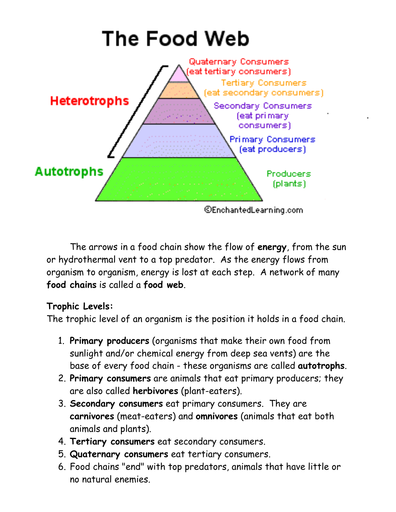

The arrows in a food chain show the flow of energy, from the sun or hydrothermal vent to a top predator. As the energy flows from organism to organism, energy is lost at each step. A network of many food chains is called a food web.

## Trophic Levels:

The trophic level of an organism is the position it holds in a food chain.

- 1. Primary producers (organisms that make their own food from sunlight and/or chemical energy from deep sea vents) are the base of every food chain - these organisms are called autotrophs.
- 2. Primary consumers are animals that eat primary producers; they are also called herbivores (plant-eaters).
- 3. Secondary consumers eat primary consumers. They are carnivores (meat-eaters) and omnivores (animals that eat both animals and plants).
- 4. Tertiary consumers eat secondary consumers.
- 5. Quaternary consumers eat tertiary consumers.
- 6. Food chains "end" with top predators, animals that have little or no natural enemies.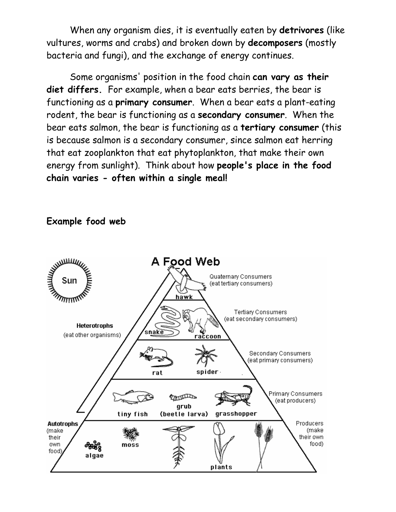When any organism dies, it is eventually eaten by detrivores (like vultures, worms and crabs) and broken down by decomposers (mostly bacteria and fungi), and the exchange of energy continues.

 Some organisms' position in the food chain can vary as their diet differs. For example, when a bear eats berries, the bear is functioning as a primary consumer. When a bear eats a plant-eating rodent, the bear is functioning as a secondary consumer. When the bear eats salmon, the bear is functioning as a tertiary consumer (this is because salmon is a secondary consumer, since salmon eat herring that eat zooplankton that eat phytoplankton, that make their own energy from sunlight). Think about how people's place in the food chain varies - often within a single meal!



## Example food web